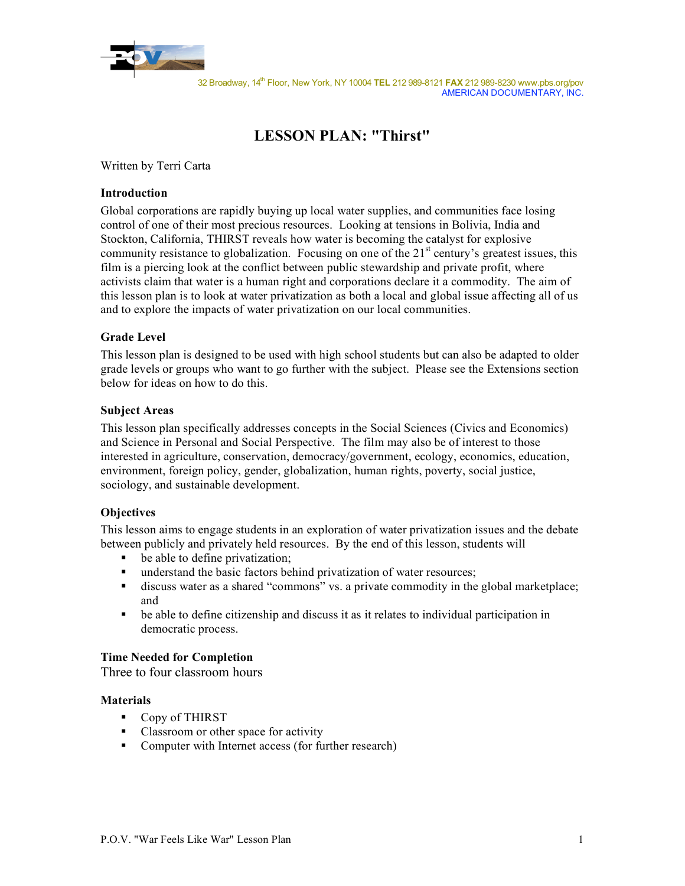

# **LESSON PLAN: "Thirst"**

Written by Terri Carta

### **Introduction**

Global corporations are rapidly buying up local water supplies, and communities face losing control of one of their most precious resources. Looking at tensions in Bolivia, India and Stockton, California, THIRST reveals how water is becoming the catalyst for explosive community resistance to globalization. Focusing on one of the  $21<sup>st</sup>$  century's greatest issues, this film is a piercing look at the conflict between public stewardship and private profit, where activists claim that water is a human right and corporations declare it a commodity. The aim of this lesson plan is to look at water privatization as both a local and global issue affecting all of us and to explore the impacts of water privatization on our local communities.

### **Grade Level**

This lesson plan is designed to be used with high school students but can also be adapted to older grade levels or groups who want to go further with the subject. Please see the Extensions section below for ideas on how to do this.

### **Subject Areas**

This lesson plan specifically addresses concepts in the Social Sciences (Civics and Economics) and Science in Personal and Social Perspective. The film may also be of interest to those interested in agriculture, conservation, democracy/government, ecology, economics, education, environment, foreign policy, gender, globalization, human rights, poverty, social justice, sociology, and sustainable development.

## **Objectives**

This lesson aims to engage students in an exploration of water privatization issues and the debate between publicly and privately held resources. By the end of this lesson, students will

- be able to define privatization;
- understand the basic factors behind privatization of water resources;
- discuss water as a shared "commons" vs. a private commodity in the global marketplace; and
- be able to define citizenship and discuss it as it relates to individual participation in democratic process.

### **Time Needed for Completion**

Three to four classroom hours

### **Materials**

- Copy of THIRST
- Classroom or other space for activity
- Computer with Internet access (for further research)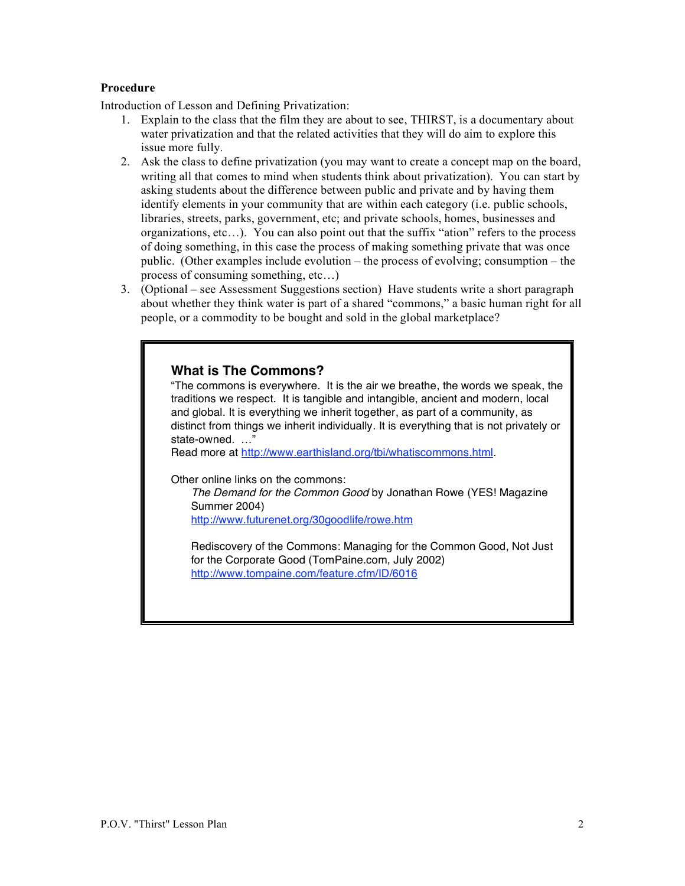# **Procedure**

Introduction of Lesson and Defining Privatization:

- 1. Explain to the class that the film they are about to see, THIRST, is a documentary about water privatization and that the related activities that they will do aim to explore this issue more fully.
- 2. Ask the class to define privatization (you may want to create a concept map on the board, writing all that comes to mind when students think about privatization). You can start by asking students about the difference between public and private and by having them identify elements in your community that are within each category (i.e. public schools, libraries, streets, parks, government, etc; and private schools, homes, businesses and organizations, etc…). You can also point out that the suffix "ation" refers to the process of doing something, in this case the process of making something private that was once public. (Other examples include evolution – the process of evolving; consumption – the process of consuming something, etc…)
- 3. (Optional see Assessment Suggestions section) Have students write a short paragraph about whether they think water is part of a shared "commons," a basic human right for all people, or a commodity to be bought and sold in the global marketplace?

# **What is The Commons?**

"The commons is everywhere. It is the air we breathe, the words we speak, the traditions we respect. It is tangible and intangible, ancient and modern, local and global. It is everything we inherit together, as part of a community, as distinct from things we inherit individually. It is everything that is not privately or state-owned. …"

Read more at http://www.earthisland.org/tbi/whatiscommons.html.

Other online links on the commons:

The Demand for the Common Good by Jonathan Rowe (YES! Magazine Summer 2004)

http://www.futurenet.org/30goodlife/rowe.htm

Rediscovery of the Commons: Managing for the Common Good, Not Just for the Corporate Good (TomPaine.com, July 2002) http://www.tompaine.com/feature.cfm/ID/6016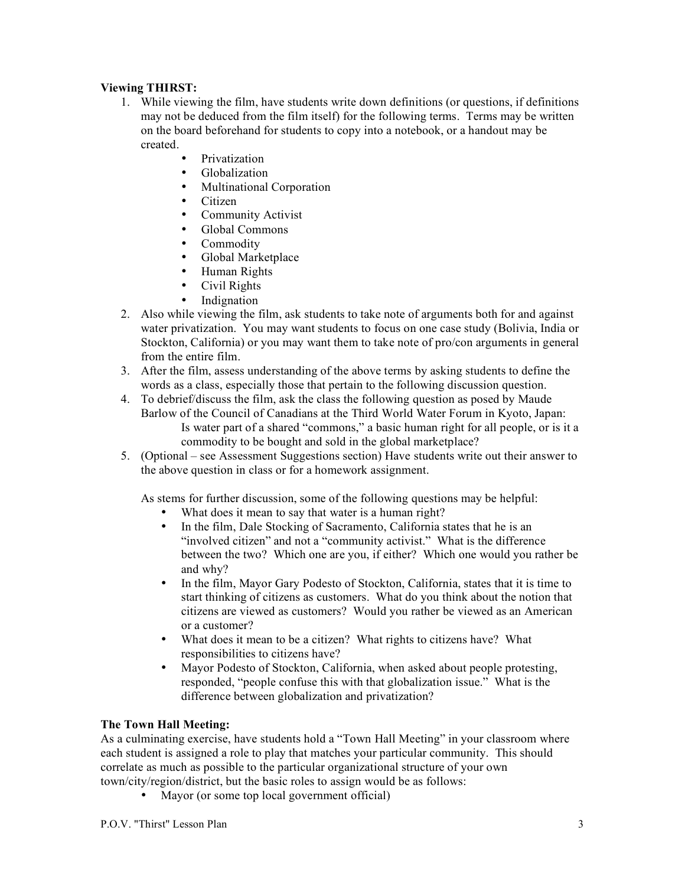# **Viewing THIRST:**

- 1. While viewing the film, have students write down definitions (or questions, if definitions may not be deduced from the film itself) for the following terms. Terms may be written on the board beforehand for students to copy into a notebook, or a handout may be created.
	- Privatization<br>• Globalization
	- Globalization
	- Multinational Corporation
	- Citizen<br>• Commu
	- Community Activist<br>• Global Commons
	- Global Commons
	- Commodity
	- Global Marketplace
	- Human Rights
	- Civil Rights
	- Indignation
- 2. Also while viewing the film, ask students to take note of arguments both for and against water privatization. You may want students to focus on one case study (Bolivia, India or Stockton, California) or you may want them to take note of pro/con arguments in general from the entire film.
- 3. After the film, assess understanding of the above terms by asking students to define the words as a class, especially those that pertain to the following discussion question.
- 4. To debrief/discuss the film, ask the class the following question as posed by Maude Barlow of the Council of Canadians at the Third World Water Forum in Kyoto, Japan: Is water part of a shared "commons," a basic human right for all people, or is it a commodity to be bought and sold in the global marketplace?
- 5. (Optional see Assessment Suggestions section) Have students write out their answer to the above question in class or for a homework assignment.

As stems for further discussion, some of the following questions may be helpful:

- What does it mean to say that water is a human right?<br>• In the film Dale Stocking of Sacramento, California s
- In the film, Dale Stocking of Sacramento, California states that he is an "involved citizen" and not a "community activist." What is the difference between the two? Which one are you, if either? Which one would you rather be and why?
- In the film, Mayor Gary Podesto of Stockton, California, states that it is time to start thinking of citizens as customers. What do you think about the notion that citizens are viewed as customers? Would you rather be viewed as an American or a customer?
- What does it mean to be a citizen? What rights to citizens have? What responsibilities to citizens have?
- Mayor Podesto of Stockton, California, when asked about people protesting, responded, "people confuse this with that globalization issue." What is the difference between globalization and privatization?

## **The Town Hall Meeting:**

As a culminating exercise, have students hold a "Town Hall Meeting" in your classroom where each student is assigned a role to play that matches your particular community. This should correlate as much as possible to the particular organizational structure of your own town/city/region/district, but the basic roles to assign would be as follows:

• Mayor (or some top local government official)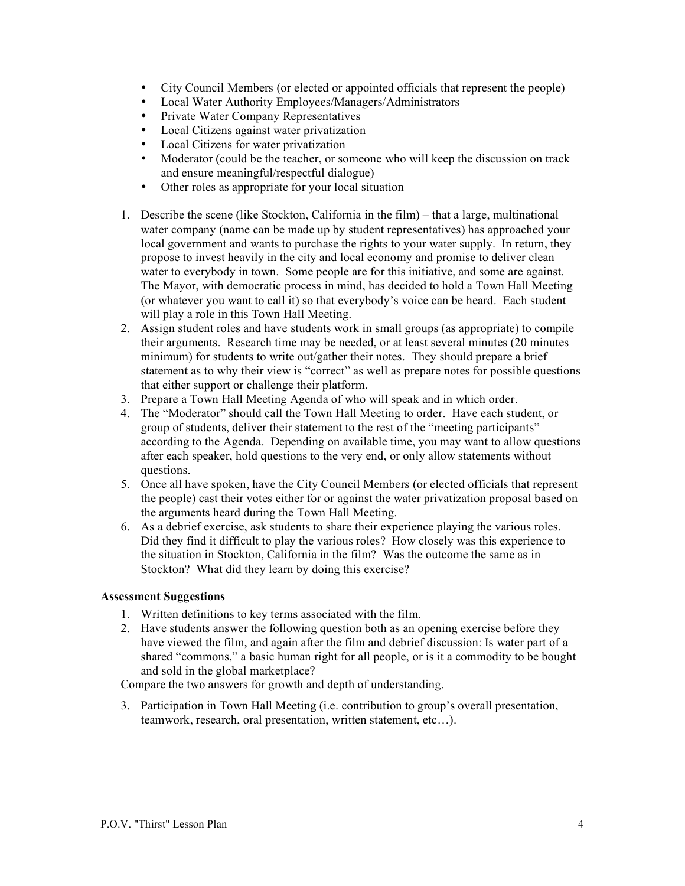- City Council Members (or elected or appointed officials that represent the people)<br>• Local Water Authority Employees/Managers/Administrators
- Local Water Authority Employees/Managers/Administrators
- Private Water Company Representatives
- Local Citizens against water privatization
- Local Citizens for water privatization
- Moderator (could be the teacher, or someone who will keep the discussion on track and ensure meaningful/respectful dialogue)
- Other roles as appropriate for your local situation
- 1. Describe the scene (like Stockton, California in the film) that a large, multinational water company (name can be made up by student representatives) has approached your local government and wants to purchase the rights to your water supply. In return, they propose to invest heavily in the city and local economy and promise to deliver clean water to everybody in town. Some people are for this initiative, and some are against. The Mayor, with democratic process in mind, has decided to hold a Town Hall Meeting (or whatever you want to call it) so that everybody's voice can be heard. Each student will play a role in this Town Hall Meeting.
- 2. Assign student roles and have students work in small groups (as appropriate) to compile their arguments. Research time may be needed, or at least several minutes (20 minutes minimum) for students to write out/gather their notes. They should prepare a brief statement as to why their view is "correct" as well as prepare notes for possible questions that either support or challenge their platform.
- 3. Prepare a Town Hall Meeting Agenda of who will speak and in which order.
- 4. The "Moderator" should call the Town Hall Meeting to order. Have each student, or group of students, deliver their statement to the rest of the "meeting participants" according to the Agenda. Depending on available time, you may want to allow questions after each speaker, hold questions to the very end, or only allow statements without questions.
- 5. Once all have spoken, have the City Council Members (or elected officials that represent the people) cast their votes either for or against the water privatization proposal based on the arguments heard during the Town Hall Meeting.
- 6. As a debrief exercise, ask students to share their experience playing the various roles. Did they find it difficult to play the various roles? How closely was this experience to the situation in Stockton, California in the film? Was the outcome the same as in Stockton? What did they learn by doing this exercise?

## **Assessment Suggestions**

- 1. Written definitions to key terms associated with the film.
- 2. Have students answer the following question both as an opening exercise before they have viewed the film, and again after the film and debrief discussion: Is water part of a shared "commons," a basic human right for all people, or is it a commodity to be bought and sold in the global marketplace?

Compare the two answers for growth and depth of understanding.

3. Participation in Town Hall Meeting (i.e. contribution to group's overall presentation, teamwork, research, oral presentation, written statement, etc…).